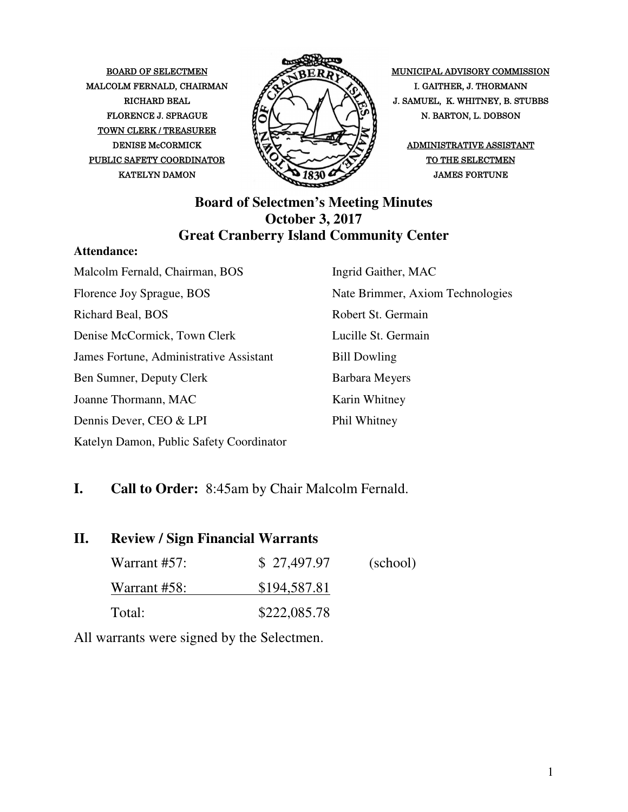MALCOLM FERNALD, CHAIRMAN  $\mathscr{P}\rightarrow\mathscr{P}$  I. GAITHER, J. THORMANN TOWN CLERK / TREASURER PUBLIC SAFETY COORDINATOR  $\bigotimes_{\mathcal{A}} \bigotimes_{\mathcal{A}} \bigotimes_{\mathcal{A}} \bigotimes_{\mathcal{A}} \bigotimes_{\mathcal{A}} \bigotimes_{\mathcal{A}} \bigotimes_{\mathcal{A}} \bigotimes_{\mathcal{A}} \bigotimes_{\mathcal{A}} \bigotimes_{\mathcal{A}} \bigotimes_{\mathcal{A}} \bigotimes_{\mathcal{A}} \bigotimes_{\mathcal{A}} \bigotimes_{\mathcal{A}} \bigotimes_{\mathcal{A}} \bigotimes_{\mathcal{A}} \bigotimes_{\mathcal{A}} \bigotimes_{\mathcal$ 



BOARD OF SELECTMEN MUNICIPAL ADVISORY COMMISSION RICHARD BEAL  $\mathbb{Z} \times \mathbb{Z}$   $\mathbb{Z} \times \mathbb{Z}$  J. SAMUEL, K. WHITNEY, B. STUBBS FLORENCE J. SPRAGUE  $\overline{H} \overline{G} N$   $\overline{N}$   $\overline{N}$   $\overline{N}$  N. BARTON, L. DOBSON

#### **Board of Selectmen's Meeting Minutes October 3, 2017 Great Cranberry Island Community Center**

#### **Attendance:**

Malcolm Fernald, Chairman, BOS Florence Joy Sprague, BOS Richard Beal, BOS Denise McCormick, Town Clerk James Fortune, Administrative Assistant Ben Sumner, Deputy Clerk Joanne Thormann, MAC Dennis Dever, CEO & LPI Katelyn Damon, Public Safety Coordinator Ingrid Gaither, MAC Nate Brimmer, Axiom Technologies Robert St. Germain Lucille St. Germain Bill Dowling Barbara Meyers Karin Whitney Phil Whitney

#### **I. Call to Order:** 8:45am by Chair Malcolm Fernald.

| П. | <b>Review / Sign Financial Warrants</b> |              |          |
|----|-----------------------------------------|--------------|----------|
|    | Warrant $#57$ :                         | \$27,497.97  | (school) |
|    | Warrant #58:                            | \$194,587.81 |          |
|    | Total:                                  | \$222,085.78 |          |

All warrants were signed by the Selectmen.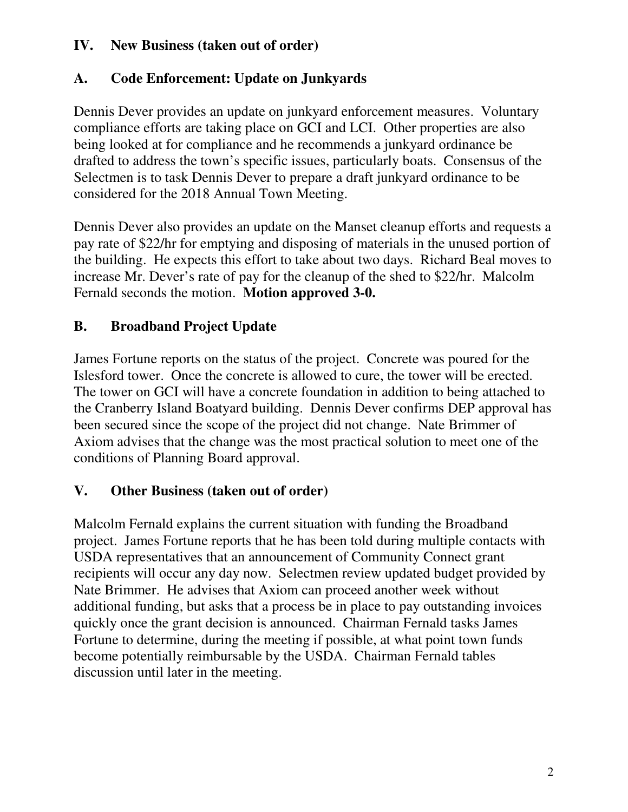#### **IV. New Business (taken out of order)**

### **A. Code Enforcement: Update on Junkyards**

Dennis Dever provides an update on junkyard enforcement measures. Voluntary compliance efforts are taking place on GCI and LCI. Other properties are also being looked at for compliance and he recommends a junkyard ordinance be drafted to address the town's specific issues, particularly boats. Consensus of the Selectmen is to task Dennis Dever to prepare a draft junkyard ordinance to be considered for the 2018 Annual Town Meeting.

Dennis Dever also provides an update on the Manset cleanup efforts and requests a pay rate of \$22/hr for emptying and disposing of materials in the unused portion of the building. He expects this effort to take about two days. Richard Beal moves to increase Mr. Dever's rate of pay for the cleanup of the shed to \$22/hr. Malcolm Fernald seconds the motion. **Motion approved 3-0.**

# **B. Broadband Project Update**

James Fortune reports on the status of the project. Concrete was poured for the Islesford tower. Once the concrete is allowed to cure, the tower will be erected. The tower on GCI will have a concrete foundation in addition to being attached to the Cranberry Island Boatyard building. Dennis Dever confirms DEP approval has been secured since the scope of the project did not change. Nate Brimmer of Axiom advises that the change was the most practical solution to meet one of the conditions of Planning Board approval.

### **V. Other Business (taken out of order)**

Malcolm Fernald explains the current situation with funding the Broadband project. James Fortune reports that he has been told during multiple contacts with USDA representatives that an announcement of Community Connect grant recipients will occur any day now. Selectmen review updated budget provided by Nate Brimmer. He advises that Axiom can proceed another week without additional funding, but asks that a process be in place to pay outstanding invoices quickly once the grant decision is announced. Chairman Fernald tasks James Fortune to determine, during the meeting if possible, at what point town funds become potentially reimbursable by the USDA. Chairman Fernald tables discussion until later in the meeting.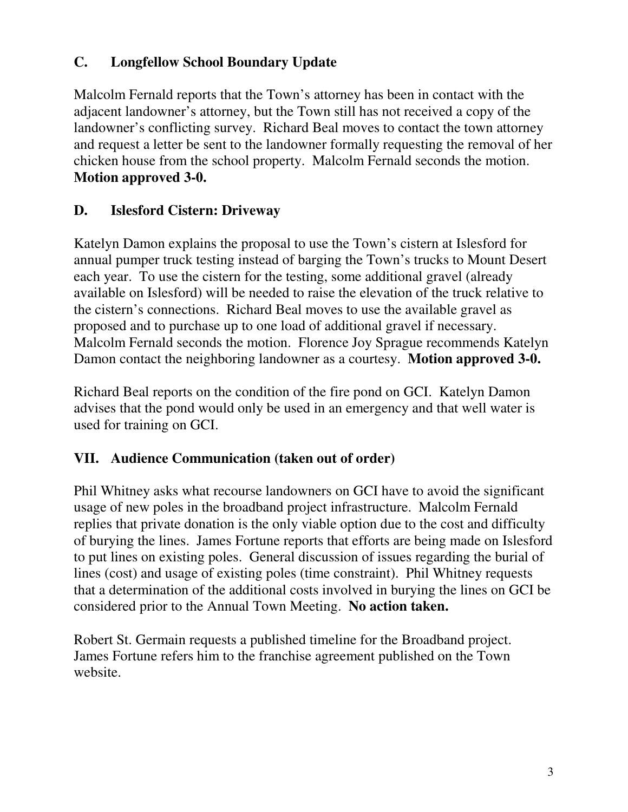#### **C. Longfellow School Boundary Update**

Malcolm Fernald reports that the Town's attorney has been in contact with the adjacent landowner's attorney, but the Town still has not received a copy of the landowner's conflicting survey. Richard Beal moves to contact the town attorney and request a letter be sent to the landowner formally requesting the removal of her chicken house from the school property. Malcolm Fernald seconds the motion. **Motion approved 3-0.**

# **D. Islesford Cistern: Driveway**

Katelyn Damon explains the proposal to use the Town's cistern at Islesford for annual pumper truck testing instead of barging the Town's trucks to Mount Desert each year. To use the cistern for the testing, some additional gravel (already available on Islesford) will be needed to raise the elevation of the truck relative to the cistern's connections. Richard Beal moves to use the available gravel as proposed and to purchase up to one load of additional gravel if necessary. Malcolm Fernald seconds the motion. Florence Joy Sprague recommends Katelyn Damon contact the neighboring landowner as a courtesy. **Motion approved 3-0.**

Richard Beal reports on the condition of the fire pond on GCI. Katelyn Damon advises that the pond would only be used in an emergency and that well water is used for training on GCI.

#### **VII. Audience Communication (taken out of order)**

Phil Whitney asks what recourse landowners on GCI have to avoid the significant usage of new poles in the broadband project infrastructure. Malcolm Fernald replies that private donation is the only viable option due to the cost and difficulty of burying the lines. James Fortune reports that efforts are being made on Islesford to put lines on existing poles. General discussion of issues regarding the burial of lines (cost) and usage of existing poles (time constraint). Phil Whitney requests that a determination of the additional costs involved in burying the lines on GCI be considered prior to the Annual Town Meeting. **No action taken.** 

Robert St. Germain requests a published timeline for the Broadband project. James Fortune refers him to the franchise agreement published on the Town website.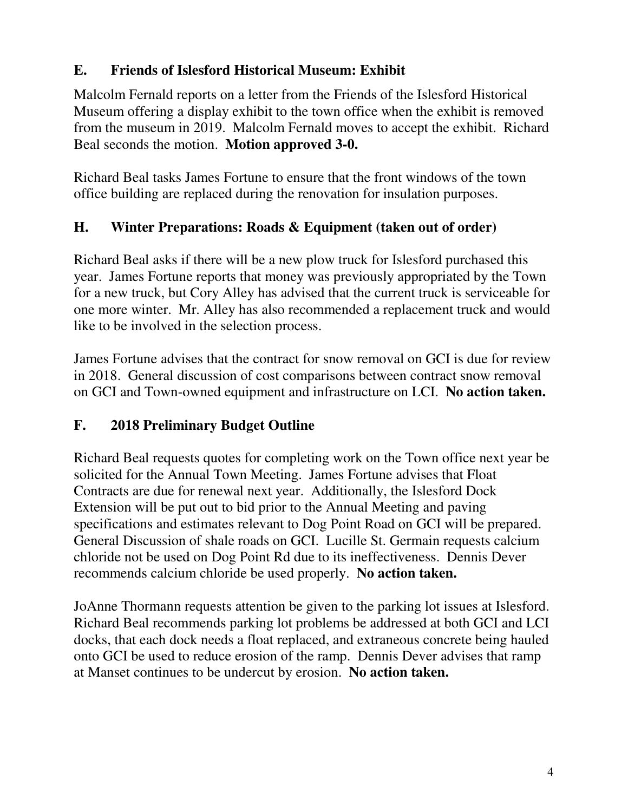# **E. Friends of Islesford Historical Museum: Exhibit**

Malcolm Fernald reports on a letter from the Friends of the Islesford Historical Museum offering a display exhibit to the town office when the exhibit is removed from the museum in 2019. Malcolm Fernald moves to accept the exhibit. Richard Beal seconds the motion. **Motion approved 3-0.** 

Richard Beal tasks James Fortune to ensure that the front windows of the town office building are replaced during the renovation for insulation purposes.

# **H. Winter Preparations: Roads & Equipment (taken out of order)**

Richard Beal asks if there will be a new plow truck for Islesford purchased this year. James Fortune reports that money was previously appropriated by the Town for a new truck, but Cory Alley has advised that the current truck is serviceable for one more winter. Mr. Alley has also recommended a replacement truck and would like to be involved in the selection process.

James Fortune advises that the contract for snow removal on GCI is due for review in 2018. General discussion of cost comparisons between contract snow removal on GCI and Town-owned equipment and infrastructure on LCI. **No action taken.**

# **F. 2018 Preliminary Budget Outline**

Richard Beal requests quotes for completing work on the Town office next year be solicited for the Annual Town Meeting. James Fortune advises that Float Contracts are due for renewal next year. Additionally, the Islesford Dock Extension will be put out to bid prior to the Annual Meeting and paving specifications and estimates relevant to Dog Point Road on GCI will be prepared. General Discussion of shale roads on GCI. Lucille St. Germain requests calcium chloride not be used on Dog Point Rd due to its ineffectiveness. Dennis Dever recommends calcium chloride be used properly. **No action taken.** 

JoAnne Thormann requests attention be given to the parking lot issues at Islesford. Richard Beal recommends parking lot problems be addressed at both GCI and LCI docks, that each dock needs a float replaced, and extraneous concrete being hauled onto GCI be used to reduce erosion of the ramp. Dennis Dever advises that ramp at Manset continues to be undercut by erosion. **No action taken.**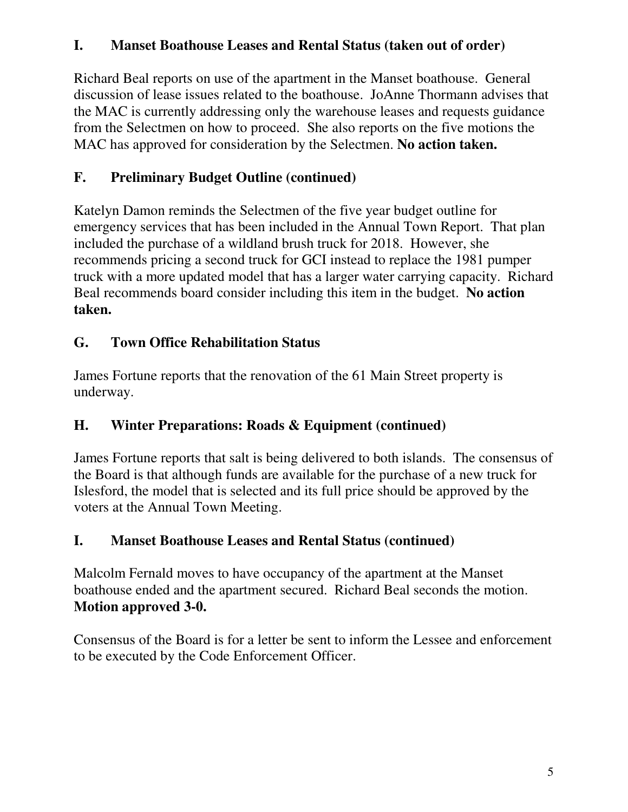### **I. Manset Boathouse Leases and Rental Status (taken out of order)**

Richard Beal reports on use of the apartment in the Manset boathouse. General discussion of lease issues related to the boathouse. JoAnne Thormann advises that the MAC is currently addressing only the warehouse leases and requests guidance from the Selectmen on how to proceed. She also reports on the five motions the MAC has approved for consideration by the Selectmen. **No action taken.**

# **F. Preliminary Budget Outline (continued)**

Katelyn Damon reminds the Selectmen of the five year budget outline for emergency services that has been included in the Annual Town Report. That plan included the purchase of a wildland brush truck for 2018. However, she recommends pricing a second truck for GCI instead to replace the 1981 pumper truck with a more updated model that has a larger water carrying capacity. Richard Beal recommends board consider including this item in the budget. **No action taken.**

# **G. Town Office Rehabilitation Status**

James Fortune reports that the renovation of the 61 Main Street property is underway.

# **H. Winter Preparations: Roads & Equipment (continued)**

James Fortune reports that salt is being delivered to both islands. The consensus of the Board is that although funds are available for the purchase of a new truck for Islesford, the model that is selected and its full price should be approved by the voters at the Annual Town Meeting.

# **I. Manset Boathouse Leases and Rental Status (continued)**

Malcolm Fernald moves to have occupancy of the apartment at the Manset boathouse ended and the apartment secured. Richard Beal seconds the motion. **Motion approved 3-0.** 

Consensus of the Board is for a letter be sent to inform the Lessee and enforcement to be executed by the Code Enforcement Officer.